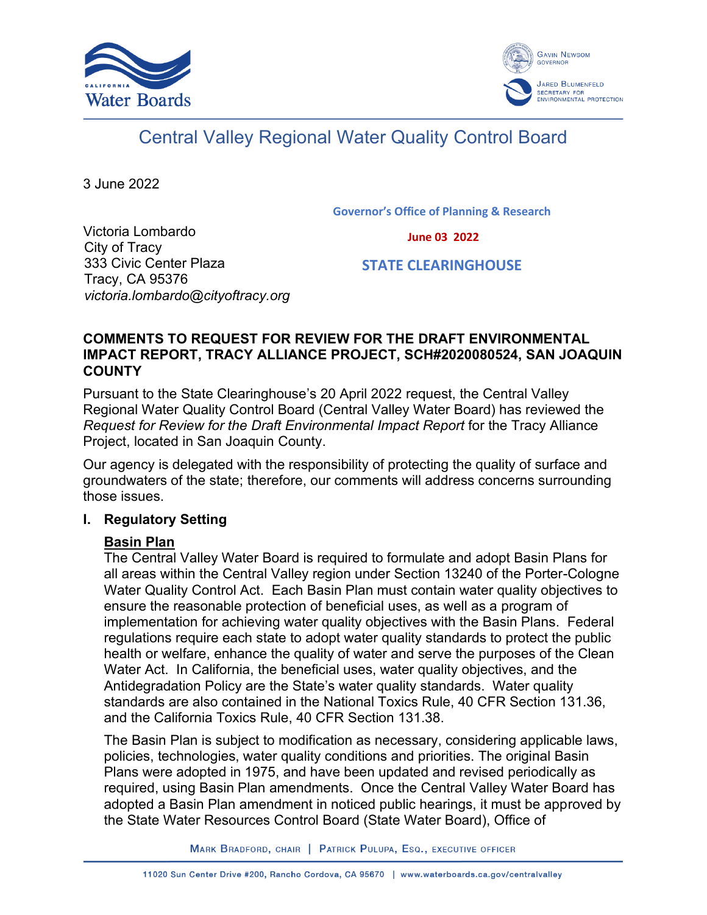



# Central Valley Regional Water Quality Control Board

3 June 2022

**Governor's Office of Planning & Research**

 **June 03 2022**

Victoria Lombardo City of Tracy 333 Civic Center Plaza Tracy, CA 95376 *victoria.lombardo@cityoftracy.org*

 **STATE CLEARINGHOUSE**

#### **COMMENTS TO REQUEST FOR REVIEW FOR THE DRAFT ENVIRONMENTAL IMPACT REPORT, TRACY ALLIANCE PROJECT, SCH#2020080524, SAN JOAQUIN COUNTY**

Pursuant to the State Clearinghouse's 20 April 2022 request, the Central Valley Regional Water Quality Control Board (Central Valley Water Board) has reviewed the *Request for Review for the Draft Environmental Impact Report* for the Tracy Alliance Project, located in San Joaquin County.

Our agency is delegated with the responsibility of protecting the quality of surface and groundwaters of the state; therefore, our comments will address concerns surrounding those issues.

## **I. Regulatory Setting**

## **Basin Plan**

The Central Valley Water Board is required to formulate and adopt Basin Plans for all areas within the Central Valley region under Section 13240 of the Porter-Cologne Water Quality Control Act. Each Basin Plan must contain water quality objectives to ensure the reasonable protection of beneficial uses, as well as a program of implementation for achieving water quality objectives with the Basin Plans. Federal regulations require each state to adopt water quality standards to protect the public health or welfare, enhance the quality of water and serve the purposes of the Clean Water Act. In California, the beneficial uses, water quality objectives, and the Antidegradation Policy are the State's water quality standards. Water quality standards are also contained in the National Toxics Rule, 40 CFR Section 131.36, and the California Toxics Rule, 40 CFR Section 131.38.

The Basin Plan is subject to modification as necessary, considering applicable laws, policies, technologies, water quality conditions and priorities. The original Basin Plans were adopted in 1975, and have been updated and revised periodically as required, using Basin Plan amendments. Once the Central Valley Water Board has adopted a Basin Plan amendment in noticed public hearings, it must be approved by the State Water Resources Control Board (State Water Board), Office of

MARK BRADFORD, CHAIR | PATRICK PULUPA, ESQ., EXECUTIVE OFFICER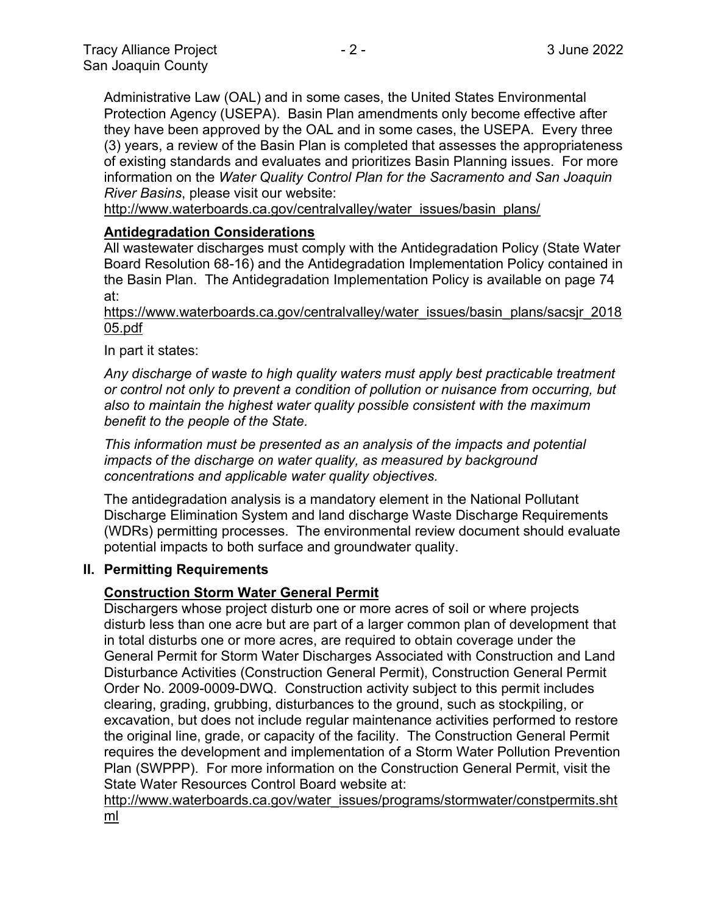Administrative Law (OAL) and in some cases, the United States Environmental Protection Agency (USEPA). Basin Plan amendments only become effective after they have been approved by the OAL and in some cases, the USEPA. Every three (3) years, a review of the Basin Plan is completed that assesses the appropriateness of existing standards and evaluates and prioritizes Basin Planning issues. For more information on the *Water Quality Control Plan for the Sacramento and San Joaquin River Basins*, please visit our website:

[http://www.waterboards.ca.gov/centralvalley/water\\_issues/basin\\_plans/](http://www.waterboards.ca.gov/centralvalley/water_issues/basin_plans/)

## **Antidegradation Considerations**

All wastewater discharges must comply with the Antidegradation Policy (State Water Board Resolution 68-16) and the Antidegradation Implementation Policy contained in the Basin Plan. The Antidegradation Implementation Policy is available on page 74 at:

https://www.waterboards.ca.gov/centralvalley/water\_issues/basin\_plans/sacsjr\_2018 05.pdf

In part it states:

*Any discharge of waste to high quality waters must apply best practicable treatment or control not only to prevent a condition of pollution or nuisance from occurring, but also to maintain the highest water quality possible consistent with the maximum benefit to the people of the State.*

*This information must be presented as an analysis of the impacts and potential impacts of the discharge on water quality, as measured by background concentrations and applicable water quality objectives.*

The antidegradation analysis is a mandatory element in the National Pollutant Discharge Elimination System and land discharge Waste Discharge Requirements (WDRs) permitting processes. The environmental review document should evaluate potential impacts to both surface and groundwater quality.

#### **II. Permitting Requirements**

## **Construction Storm Water General Permit**

Dischargers whose project disturb one or more acres of soil or where projects disturb less than one acre but are part of a larger common plan of development that in total disturbs one or more acres, are required to obtain coverage under the General Permit for Storm Water Discharges Associated with Construction and Land Disturbance Activities (Construction General Permit), Construction General Permit Order No. 2009-0009-DWQ. Construction activity subject to this permit includes clearing, grading, grubbing, disturbances to the ground, such as stockpiling, or excavation, but does not include regular maintenance activities performed to restore the original line, grade, or capacity of the facility. The Construction General Permit requires the development and implementation of a Storm Water Pollution Prevention Plan (SWPPP). For more information on the Construction General Permit, visit the State Water Resources Control Board website at:

[http://www.waterboards.ca.gov/water\\_issues/programs/stormwater/constpermits.sht](http://www.waterboards.ca.gov/water_issues/programs/stormwater/constpermits.shtml) [ml](http://www.waterboards.ca.gov/water_issues/programs/stormwater/constpermits.shtml)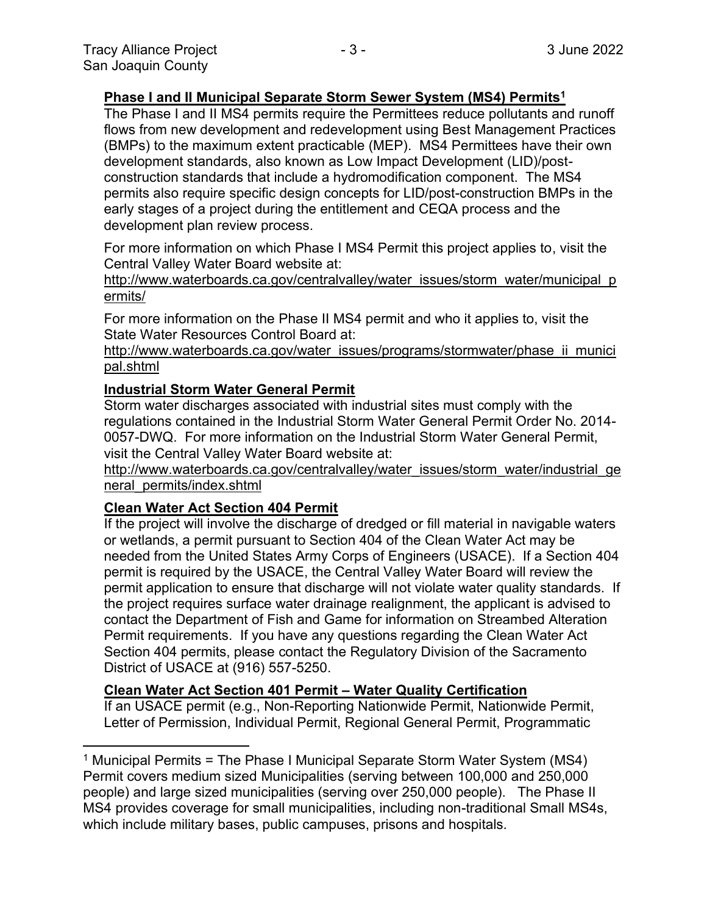## **Phase I and II Municipal Separate Storm Sewer System (MS4) Permits<sup>1</sup>**

The Phase I and II MS4 permits require the Permittees reduce pollutants and runoff flows from new development and redevelopment using Best Management Practices (BMPs) to the maximum extent practicable (MEP). MS4 Permittees have their own development standards, also known as Low Impact Development (LID)/postconstruction standards that include a hydromodification component. The MS4 permits also require specific design concepts for LID/post-construction BMPs in the early stages of a project during the entitlement and CEQA process and the development plan review process.

For more information on which Phase I MS4 Permit this project applies to, visit the Central Valley Water Board website at:

http://www.waterboards.ca.gov/centralvalley/water\_issues/storm\_water/municipal\_p ermits/

For more information on the Phase II MS4 permit and who it applies to, visit the State Water Resources Control Board at:

http://www.waterboards.ca.gov/water\_issues/programs/stormwater/phase\_ii\_munici pal.shtml

#### **Industrial Storm Water General Permit**

Storm water discharges associated with industrial sites must comply with the regulations contained in the Industrial Storm Water General Permit Order No. 2014- 0057-DWQ. For more information on the Industrial Storm Water General Permit, visit the Central Valley Water Board website at:

http://www.waterboards.ca.gov/centralvalley/water\_issues/storm\_water/industrial\_ge neral\_permits/index.shtml

## **Clean Water Act Section 404 Permit**

If the project will involve the discharge of dredged or fill material in navigable waters or wetlands, a permit pursuant to Section 404 of the Clean Water Act may be needed from the United States Army Corps of Engineers (USACE). If a Section 404 permit is required by the USACE, the Central Valley Water Board will review the permit application to ensure that discharge will not violate water quality standards. If the project requires surface water drainage realignment, the applicant is advised to contact the Department of Fish and Game for information on Streambed Alteration Permit requirements. If you have any questions regarding the Clean Water Act Section 404 permits, please contact the Regulatory Division of the Sacramento District of USACE at (916) 557-5250.

#### **Clean Water Act Section 401 Permit – Water Quality Certification**

If an USACE permit (e.g., Non-Reporting Nationwide Permit, Nationwide Permit, Letter of Permission, Individual Permit, Regional General Permit, Programmatic

<sup>&</sup>lt;sup>1</sup> Municipal Permits = The Phase I Municipal Separate Storm Water System (MS4) Permit covers medium sized Municipalities (serving between 100,000 and 250,000 people) and large sized municipalities (serving over 250,000 people). The Phase II MS4 provides coverage for small municipalities, including non-traditional Small MS4s, which include military bases, public campuses, prisons and hospitals.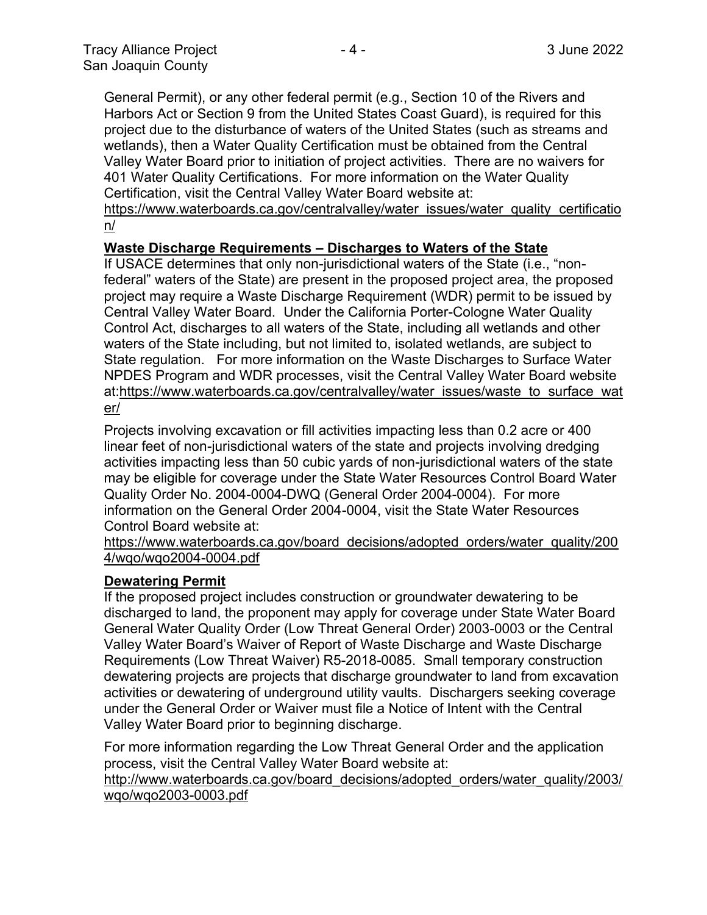General Permit), or any other federal permit (e.g., Section 10 of the Rivers and Harbors Act or Section 9 from the United States Coast Guard), is required for this project due to the disturbance of waters of the United States (such as streams and wetlands), then a Water Quality Certification must be obtained from the Central Valley Water Board prior to initiation of project activities. There are no waivers for 401 Water Quality Certifications. For more information on the Water Quality Certification, visit the Central Valley Water Board website at:

https://www.waterboards.ca.gov/centralvalley/water\_issues/water\_quality\_certificatio n/

### **Waste Discharge Requirements – Discharges to Waters of the State**

If USACE determines that only non-jurisdictional waters of the State (i.e., "nonfederal" waters of the State) are present in the proposed project area, the proposed project may require a Waste Discharge Requirement (WDR) permit to be issued by Central Valley Water Board. Under the California Porter-Cologne Water Quality Control Act, discharges to all waters of the State, including all wetlands and other waters of the State including, but not limited to, isolated wetlands, are subject to State regulation. For more information on the Waste Discharges to Surface Water NPDES Program and WDR processes, visit the Central Valley Water Board website at:https://www.waterboards.ca.gov/centralvalley/water\_issues/waste\_to\_surface\_wat er/

Projects involving excavation or fill activities impacting less than 0.2 acre or 400 linear feet of non-jurisdictional waters of the state and projects involving dredging activities impacting less than 50 cubic yards of non-jurisdictional waters of the state may be eligible for coverage under the State Water Resources Control Board Water Quality Order No. 2004-0004-DWQ (General Order 2004-0004). For more information on the General Order 2004-0004, visit the State Water Resources Control Board website at:

https://www.waterboards.ca.gov/board\_decisions/adopted\_orders/water\_quality/200 4/wqo/wqo2004-0004.pdf

#### **Dewatering Permit**

If the proposed project includes construction or groundwater dewatering to be discharged to land, the proponent may apply for coverage under State Water Board General Water Quality Order (Low Threat General Order) 2003-0003 or the Central Valley Water Board's Waiver of Report of Waste Discharge and Waste Discharge Requirements (Low Threat Waiver) R5-2018-0085. Small temporary construction dewatering projects are projects that discharge groundwater to land from excavation activities or dewatering of underground utility vaults. Dischargers seeking coverage under the General Order or Waiver must file a Notice of Intent with the Central Valley Water Board prior to beginning discharge.

For more information regarding the Low Threat General Order and the application process, visit the Central Valley Water Board website at:

http://www.waterboards.ca.gov/board decisions/adopted orders/water quality/2003/ wqo/wqo2003-0003.pdf